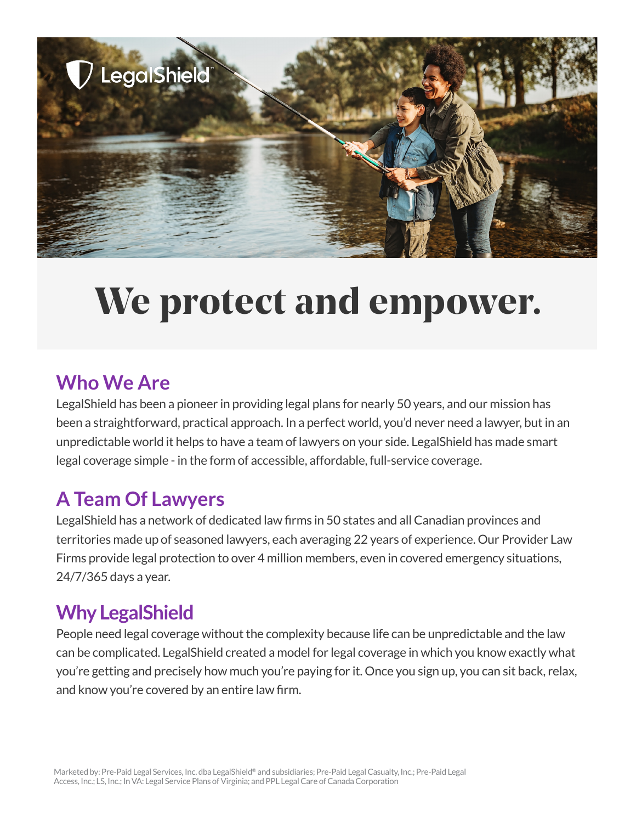

# We protect and empower.

## **Who We Are**

LegalShield has been a pioneer in providing legal plans for nearly 50 years, and our mission has been a straightforward, practical approach. In a perfect world, you'd never need a lawyer, but in an unpredictable world it helps to have a team of lawyers on your side. LegalShield has made smart legal coverage simple - in the form of accessible, affordable, full-service coverage.

## **A Team Of Lawyers**

LegalShield has a network of dedicated law firms in 50 states and all Canadian provinces and territories made up of seasoned lawyers, each averaging 22 years of experience. Our Provider Law Firms provide legal protection to over 4 million members, even in covered emergency situations, 24/7/365 days a year.

## **Why LegalShield**

People need legal coverage without the complexity because life can be unpredictable and the law can be complicated. LegalShield created a model for legal coverage in which you know exactly what you're getting and precisely how much you're paying for it. Once you sign up, you can sit back, relax, and know you're covered by an entire law firm.